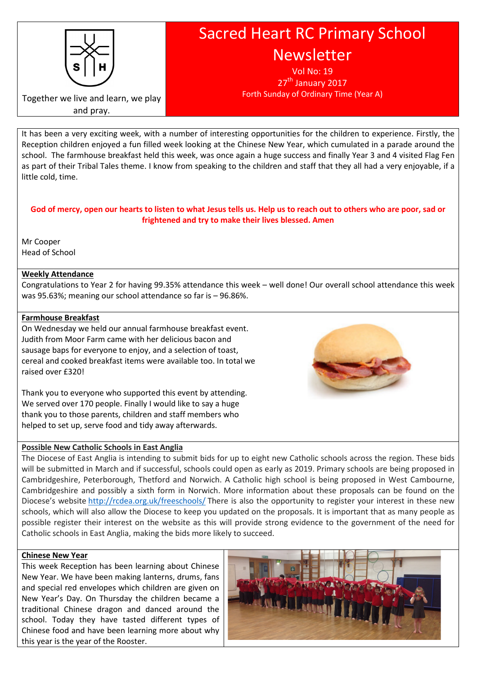

Sacred Heart RC Primary School **Newsletter** 

> Vol No: 19  $27<sup>tn</sup>$  January 2017 Forth Sunday of Ordinary Time (Year A)

Together we live and learn, we play and pray.

It has been a very exciting week, with a number of interesting opportunities for the children to experience. Firstly, the Reception children enjoyed a fun filled week looking at the Chinese New Year, which cumulated in a parade around the school. The farmhouse breakfast held this week, was once again a huge success and finally Year 3 and 4 visited Flag Fen as part of their Tribal Tales theme. I know from speaking to the children and staff that they all had a very enjoyable, if a little cold, time.

# God of mercy, open our hearts to listen to what Jesus tells us. Help us to reach out to others who are poor, sad or frightened and try to make their lives blessed. Amen

Mr Cooper Head of School

# Weekly Attendance

Congratulations to Year 2 for having 99.35% attendance this week – well done! Our overall school attendance this week was 95.63%; meaning our school attendance so far is – 96.86%.

# Farmhouse Breakfast

On Wednesday we held our annual farmhouse breakfast event. Judith from Moor Farm came with her delicious bacon and sausage baps for everyone to enjoy, and a selection of toast, cereal and cooked breakfast items were available too. In total we raised over £320!

Thank you to everyone who supported this event by attending. We served over 170 people. Finally I would like to say a huge thank you to those parents, children and staff members who helped to set up, serve food and tidy away afterwards.

# Possible New Catholic Schools in East Anglia

The Diocese of East Anglia is intending to submit bids for up to eight new Catholic schools across the region. These bids will be submitted in March and if successful, schools could open as early as 2019. Primary schools are being proposed in Cambridgeshire, Peterborough, Thetford and Norwich. A Catholic high school is being proposed in West Cambourne, Cambridgeshire and possibly a sixth form in Norwich. More information about these proposals can be found on the Diocese's website http://rcdea.org.uk/freeschools/ There is also the opportunity to register your interest in these new schools, which will also allow the Diocese to keep you updated on the proposals. It is important that as many people as possible register their interest on the website as this will provide strong evidence to the government of the need for Catholic schools in East Anglia, making the bids more likely to succeed.

## Chinese New Year

This week Reception has been learning about Chinese New Year. We have been making lanterns, drums, fans and special red envelopes which children are given on New Year's Day. On Thursday the children became a traditional Chinese dragon and danced around the school. Today they have tasted different types of Chinese food and have been learning more about why this year is the year of the Rooster.